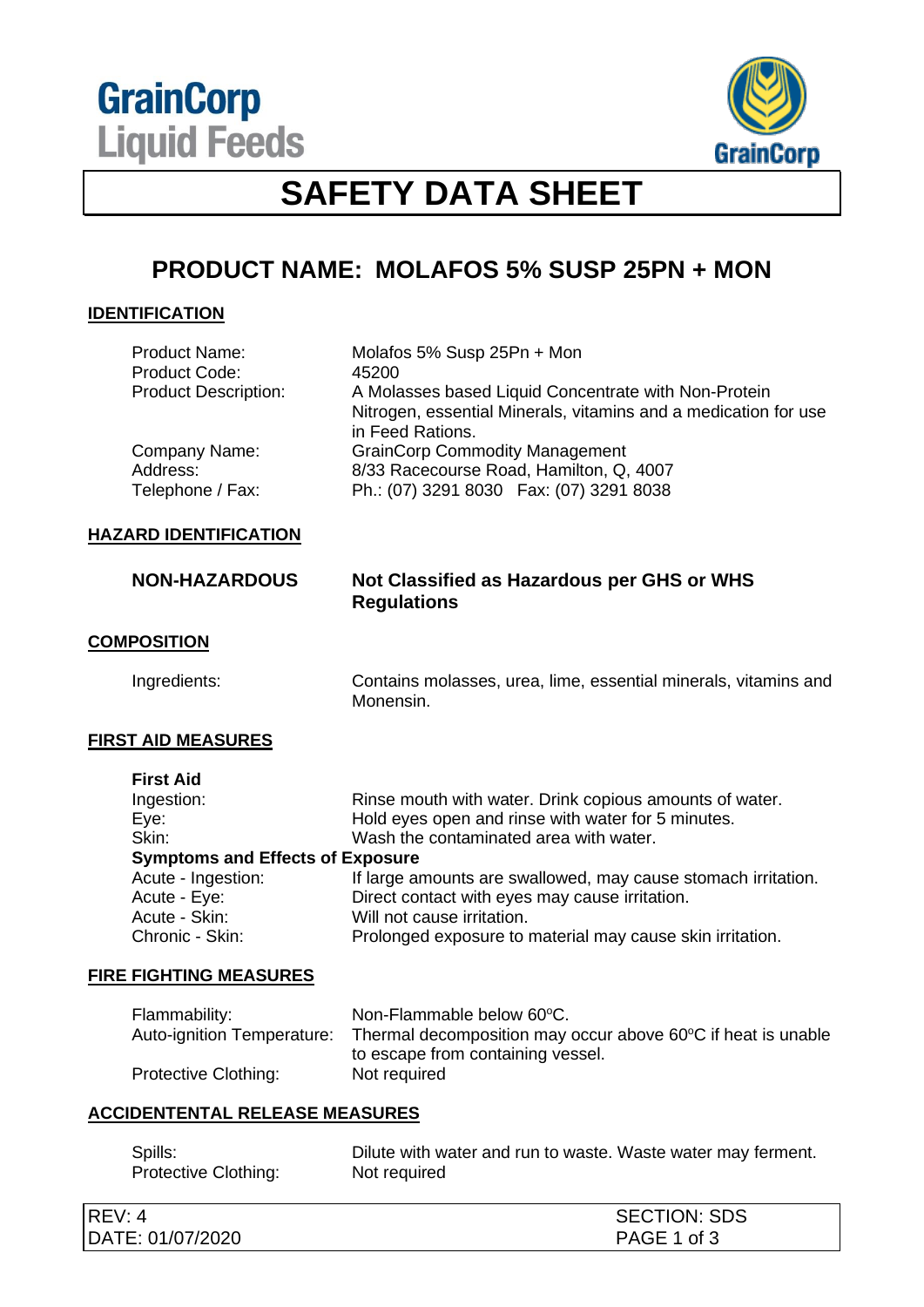**GrainCorp Liquid Feeds** 



# **SAFETY DATA SHEET**

# **PRODUCT NAME: MOLAFOS 5% SUSP 25PN + MON**

### **IDENTIFICATION**

| <b>Product Name:</b><br><b>Product Code:</b> | Molafos 5% Susp 25Pn + Mon<br>45200                                                 |
|----------------------------------------------|-------------------------------------------------------------------------------------|
| <b>Product Description:</b>                  | A Molasses based Liquid Concentrate with Non-Protein                                |
|                                              | Nitrogen, essential Minerals, vitamins and a medication for use<br>in Feed Rations. |
| Company Name:                                | <b>GrainCorp Commodity Management</b>                                               |
| Address:                                     | 8/33 Racecourse Road, Hamilton, Q, 4007                                             |
| Telephone / Fax:                             | Ph.: (07) 3291 8030  Fax: (07) 3291 8038                                            |

### **HAZARD IDENTIFICATION**

### **NON-HAZARDOUS Not Classified as Hazardous per GHS or WHS Regulations**

### **COMPOSITION**

Ingredients: Contains molasses, urea, lime, essential minerals, vitamins and Monensin.

### **FIRST AID MEASURES**

**First Aid**

| 1 11 31 AIU                             |                                                               |
|-----------------------------------------|---------------------------------------------------------------|
| Ingestion:                              | Rinse mouth with water. Drink copious amounts of water.       |
| Eye:                                    | Hold eyes open and rinse with water for 5 minutes.            |
| Skin:                                   | Wash the contaminated area with water.                        |
| <b>Symptoms and Effects of Exposure</b> |                                                               |
| Acute - Ingestion:                      | If large amounts are swallowed, may cause stomach irritation. |
| Acute - Eye:                            | Direct contact with eyes may cause irritation.                |
| Acute - Skin:                           | Will not cause irritation.                                    |
| Chronic - Skin:                         | Prolonged exposure to material may cause skin irritation.     |
|                                         |                                                               |

#### **FIRE FIGHTING MEASURES**

| Flammability:              | Non-Flammable below 60°C.                                    |
|----------------------------|--------------------------------------------------------------|
| Auto-ignition Temperature: | Thermal decomposition may occur above 60°C if heat is unable |
|                            | to escape from containing vessel.                            |
| Protective Clothing:       | Not required                                                 |

## **ACCIDENTENTAL RELEASE MEASURES**

| Spills:              | Dilute with water and run to waste. Waste water may ferment. |  |
|----------------------|--------------------------------------------------------------|--|
| Protective Clothing: | Not required                                                 |  |

| REV:<br>4 ∶      | <b>SECTION: SDS</b> |
|------------------|---------------------|
| DATE: 01/07/2020 | PAGE 1 of 3         |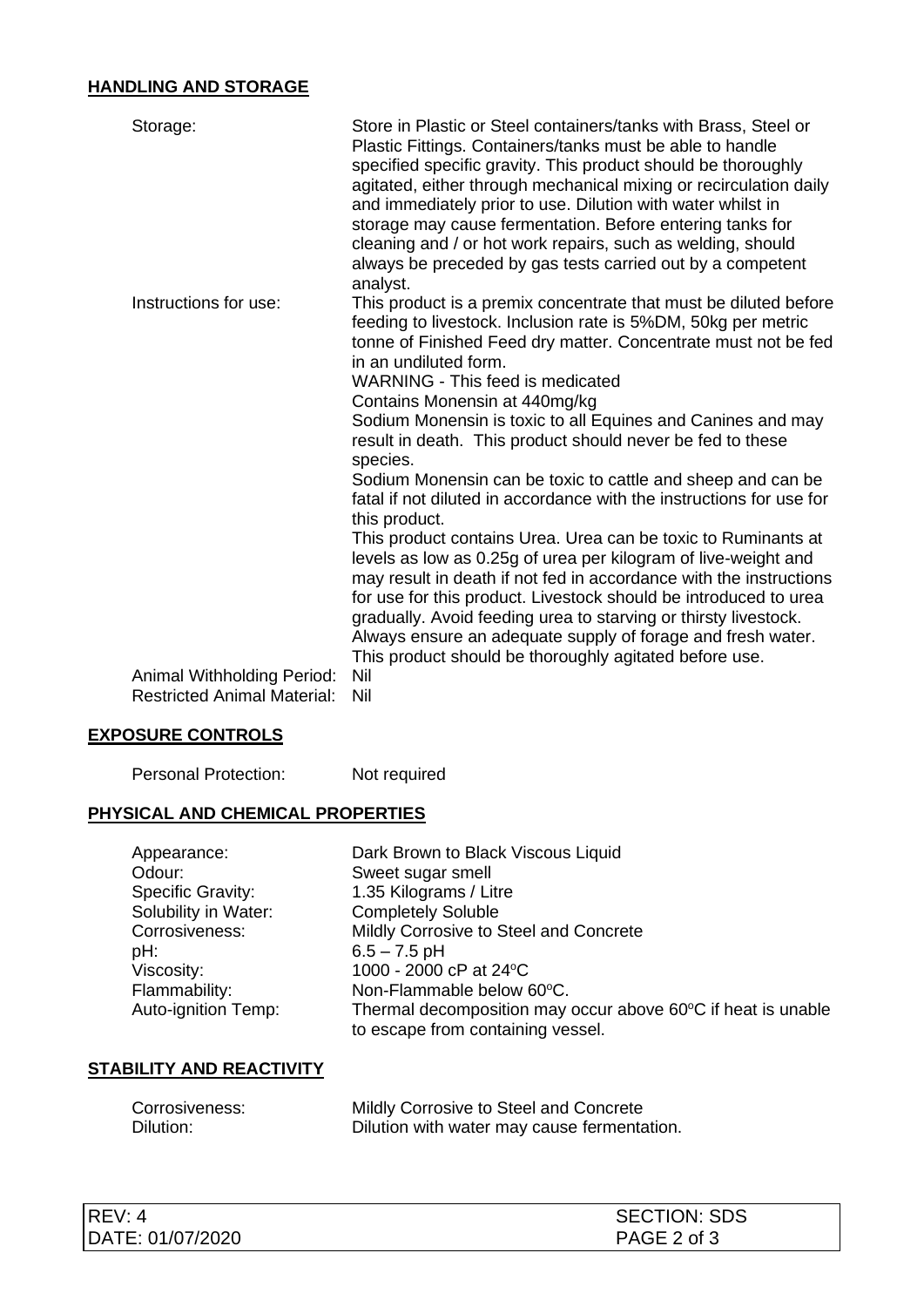# **HANDLING AND STORAGE**

| Storage:                                                         | Store in Plastic or Steel containers/tanks with Brass, Steel or<br>Plastic Fittings. Containers/tanks must be able to handle<br>specified specific gravity. This product should be thoroughly<br>agitated, either through mechanical mixing or recirculation daily<br>and immediately prior to use. Dilution with water whilst in<br>storage may cause fermentation. Before entering tanks for<br>cleaning and / or hot work repairs, such as welding, should<br>always be preceded by gas tests carried out by a competent<br>analyst. |
|------------------------------------------------------------------|-----------------------------------------------------------------------------------------------------------------------------------------------------------------------------------------------------------------------------------------------------------------------------------------------------------------------------------------------------------------------------------------------------------------------------------------------------------------------------------------------------------------------------------------|
| Instructions for use:                                            | This product is a premix concentrate that must be diluted before<br>feeding to livestock. Inclusion rate is 5%DM, 50kg per metric<br>tonne of Finished Feed dry matter. Concentrate must not be fed<br>in an undiluted form.<br><b>WARNING - This feed is medicated</b><br>Contains Monensin at 440mg/kg<br>Sodium Monensin is toxic to all Equines and Canines and may<br>result in death. This product should never be fed to these<br>species.                                                                                       |
|                                                                  | Sodium Monensin can be toxic to cattle and sheep and can be<br>fatal if not diluted in accordance with the instructions for use for<br>this product.                                                                                                                                                                                                                                                                                                                                                                                    |
|                                                                  | This product contains Urea. Urea can be toxic to Ruminants at<br>levels as low as 0.25g of urea per kilogram of live-weight and<br>may result in death if not fed in accordance with the instructions<br>for use for this product. Livestock should be introduced to urea<br>gradually. Avoid feeding urea to starving or thirsty livestock.<br>Always ensure an adequate supply of forage and fresh water.<br>This product should be thoroughly agitated before use.                                                                   |
| Animal Withholding Period:<br><b>Restricted Animal Material:</b> | Nil<br>Nil                                                                                                                                                                                                                                                                                                                                                                                                                                                                                                                              |

# **EXPOSURE CONTROLS**

| <b>Personal Protection:</b> | Not required |
|-----------------------------|--------------|
|                             |              |

## **PHYSICAL AND CHEMICAL PROPERTIES**

| Appearance:              | Dark Brown to Black Viscous Liquid                                                                |
|--------------------------|---------------------------------------------------------------------------------------------------|
| Odour:                   | Sweet sugar smell                                                                                 |
| <b>Specific Gravity:</b> | 1.35 Kilograms / Litre                                                                            |
| Solubility in Water:     | <b>Completely Soluble</b>                                                                         |
| Corrosiveness:           | Mildly Corrosive to Steel and Concrete                                                            |
| pH:                      | $6.5 - 7.5$ pH                                                                                    |
| Viscosity:               | 1000 - 2000 cP at 24°C                                                                            |
| Flammability:            | Non-Flammable below 60°C.                                                                         |
| Auto-ignition Temp:      | Thermal decomposition may occur above 60°C if heat is unable<br>to escape from containing vessel. |

# **STABILITY AND REACTIVITY**

| Corrosiveness: | Mildly Corrosive to Steel and Concrete      |
|----------------|---------------------------------------------|
| Dilution:      | Dilution with water may cause fermentation. |

| REV: 4           | <b>SECTION: SDS</b> |
|------------------|---------------------|
| DATE: 01/07/2020 | PAGE 2 of 3         |